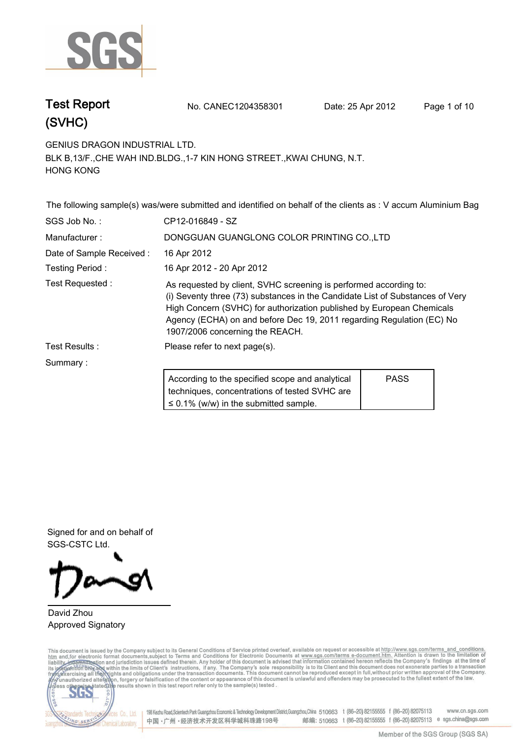

# **(SVHC)**

**Test Report. No. CANEC1204358301 Date: 25 Apr 2012. Page 1 of 10.**

**GENIUS DRAGON INDUSTRIAL LTD..**

**BLK B,13/F.,CHE WAH IND.BLDG.,1-7 KIN HONG STREET.,KWAI CHUNG, N.T. HONG KONG.**

**The following sample(s) was/were submitted and identified on behalf of the clients as : V accum Aluminium Bag. SGS Job No. : CP12-016849 - SZ. Manufacturer :. DONGGUAN GUANGLONG COLOR PRINTING CO.,LTD. Date of Sample Received :. 16 Apr 2012. Testing Period :. 16 Apr 2012 - 20 Apr 2012. Test Requested :. As requested by client, SVHC screening is performed according to: (i) Seventy three (73) substances in the Candidate List of Substances of Very High Concern (SVHC) for authorization published by European Chemicals Agency (ECHA) on and before Dec 19, 2011 regarding Regulation (EC) No 1907/2006 concerning the REACH.. Test Results :. Please refer to next page(s).. Summary :. According to the specified scope and analytical techniques, concentrations of tested SVHC are ≤ 0.1% (w/w) in the submitted sample. PASS**

**Signed for and on behalf of SGS-CSTC Ltd..**

### **David Zhou. Approved Signatory.**

This document is issued by the Company subject to its General Conditions of Service printed overleaf, available on request or accessible at http://www.sgs.com/terms\_and\_conditions.<br>htm\_and, for electronic format documents,



www.cn.sgs.com 198 Kezhu Road,Scientech Park Guangzhou Economic & Technology Development District,Guangzhou,China 510663 t (86-20) 82155555 f (86-20) 82075113 邮编: 510663 t (86-20) 82155555 f (86-20) 82075113 e sgs.china@sgs.com 中国·广州·经济技术开发区科学城科珠路198号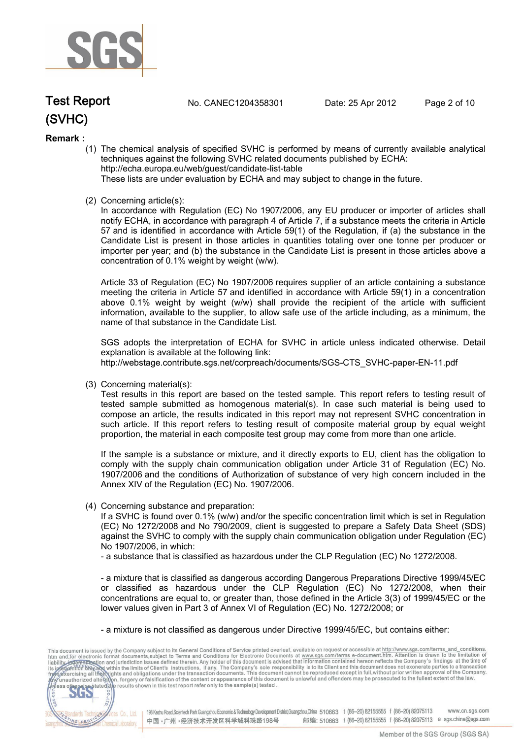

# **(SVHC) Test Report. No. CANEC1204358301 Date: 25 Apr 2012. Page 2 of 10.**

#### **Remark :**

(1) The chemical analysis of specified SVHC is performed by means of currently available analytical techniques against the following SVHC related documents published by ECHA: http://echa.europa.eu/web/guest/candidate-list-table

These lists are under evaluation by ECHA and may subject to change in the future.

(2) Concerning article(s):

In accordance with Regulation (EC) No 1907/2006, any EU producer or importer of articles shall notify ECHA, in accordance with paragraph 4 of Article 7, if a substance meets the criteria in Article 57 and is identified in accordance with Article 59(1) of the Regulation, if (a) the substance in the Candidate List is present in those articles in quantities totaling over one tonne per producer or importer per year; and (b) the substance in the Candidate List is present in those articles above a concentration of 0.1% weight by weight (w/w).

Article 33 of Regulation (EC) No 1907/2006 requires supplier of an article containing a substance meeting the criteria in Article 57 and identified in accordance with Article 59(1) in a concentration above 0.1% weight by weight (w/w) shall provide the recipient of the article with sufficient information, available to the supplier, to allow safe use of the article including, as a minimum, the name of that substance in the Candidate List.

SGS adopts the interpretation of ECHA for SVHC in article unless indicated otherwise. Detail explanation is available at the following link: http://webstage.contribute.sgs.net/corpreach/documents/SGS-CTS\_SVHC-paper-EN-11.pdf

(3) Concerning material(s):

Test results in this report are based on the tested sample. This report refers to testing result of tested sample submitted as homogenous material(s). In case such material is being used to compose an article, the results indicated in this report may not represent SVHC concentration in such article. If this report refers to testing result of composite material group by equal weight proportion, the material in each composite test group may come from more than one article.

If the sample is a substance or mixture, and it directly exports to EU, client has the obligation to comply with the supply chain communication obligation under Article 31 of Regulation (EC) No. 1907/2006 and the conditions of Authorization of substance of very high concern included in the Annex XIV of the Regulation (EC) No. 1907/2006.

(4) Concerning substance and preparation:

If a SVHC is found over 0.1% (w/w) and/or the specific concentration limit which is set in Regulation (EC) No 1272/2008 and No 790/2009, client is suggested to prepare a Safety Data Sheet (SDS) against the SVHC to comply with the supply chain communication obligation under Regulation (EC) No 1907/2006, in which:

- a substance that is classified as hazardous under the CLP Regulation (EC) No 1272/2008.

- a mixture that is classified as dangerous according Dangerous Preparations Directive 1999/45/EC or classified as hazardous under the CLP Regulation (EC) No 1272/2008, when their concentrations are equal to, or greater than, those defined in the Article 3(3) of 1999/45/EC or the lower values given in Part 3 of Annex VI of Regulation (EC) No. 1272/2008; or

- a mixture is not classified as dangerous under Directive 1999/45/EC, but contains either:

This document is issued by the Company subject to its General Conditions of Service printed overleaf, available on request or accessible at http://www.sgs.com/terms\_and\_conditions.<br>
htm and for electronic format documents, CO.LTD. 565 198 Kezhu Road, Scientech Park Guangzhou Economic & Technology Development District, Guangzhou, China 510663 t (86-20) 82155555 f (86-20) 82075113 **Co., Ltd.** www.cn.sas.com dards Tech 邮编: 510663 t (86-20) 82155555 f (86-20) 82075113 e sgs.china@sgs.com 中国·广州·经济技术开发区科学城科珠路198号 NG SERY Chemical Laboratory.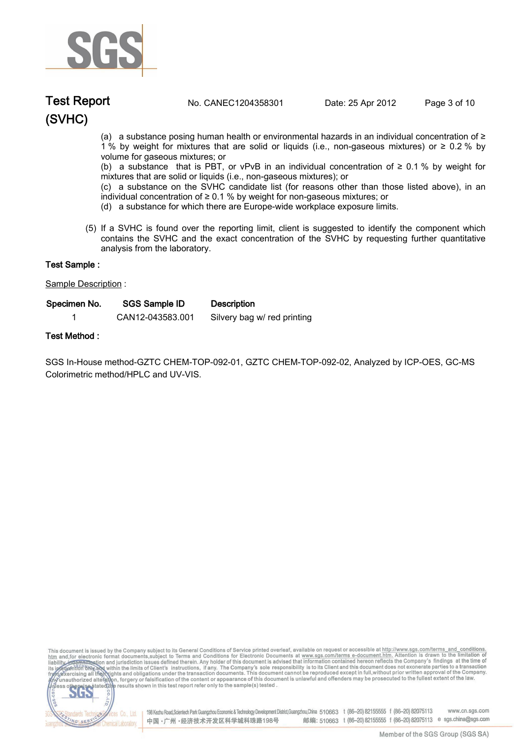

# **(SVHC) Test Report. No. CANEC1204358301 Date: 25 Apr 2012. Page 3 of 10.**

(a) a substance posing human health or environmental hazards in an individual concentration of ≥ 1 % by weight for mixtures that are solid or liquids (i.e., non-gaseous mixtures) or ≥ 0.2 % by volume for gaseous mixtures; or

(b) a substance that is PBT, or vPvB in an individual concentration of  $\geq 0.1$  % by weight for mixtures that are solid or liquids (i.e., non-gaseous mixtures); or

(c) a substance on the SVHC candidate list (for reasons other than those listed above), in an individual concentration of ≥ 0.1 % by weight for non-gaseous mixtures; or

- (d) a substance for which there are Europe-wide workplace exposure limits.
- (5) If a SVHC is found over the reporting limit, client is suggested to identify the component which contains the SVHC and the exact concentration of the SVHC by requesting further quantitative analysis from the laboratory.

#### **Sample Description :.**

| Test Sample :        |                  |                             |  |
|----------------------|------------------|-----------------------------|--|
| Sample Description : |                  |                             |  |
| Specimen No.         | SGS Sample ID    | <b>Description</b>          |  |
|                      | CAN12-043583.001 | Silvery bag w/ red printing |  |

### **Test Method :.**

**SGS In-House method-GZTC CHEM-TOP-092-01, GZTC CHEM-TOP-092-02, Analyzed by ICP-OES, GC-MS Colorimetric method/HPLC and UV-VIS..**

This document is issued by the Company subject to its General Conditions of Service printed overleaf, available on request or accessible at http://www.sgs.com/terms\_and\_conditions.<br>htm\_and, for electronic format documents,



198 Kezhu Road,Scientech Park Guangzhou Economic & Technology Development District,Guangzhou,China 510663 t (86-20) 82155555 f (86-20) 82075113 www.cn.sgs.com 邮编: 510663 t (86-20) 82155555 f (86-20) 82075113 e sgs.china@sgs.com 中国·广州·经济技术开发区科学城科珠路198号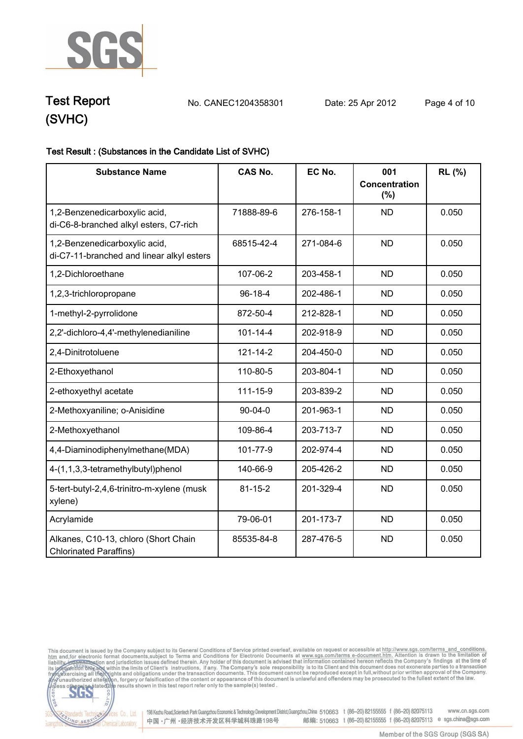

**Test Report. No. CANEC1204358301 Date: 25 Apr 2012. Page 4 of 10.**

# **(SVHC)**

dards Tec

ING SERY

### **Test Result : (Substances in the Candidate List of SVHC).**

| <b>Substance Name</b>                                                      | <b>CAS No.</b> | EC No.    | 001<br>Concentration<br>(%) | RL (%) |
|----------------------------------------------------------------------------|----------------|-----------|-----------------------------|--------|
| 1,2-Benzenedicarboxylic acid,<br>di-C6-8-branched alkyl esters, C7-rich    | 71888-89-6     | 276-158-1 | <b>ND</b>                   | 0.050  |
| 1,2-Benzenedicarboxylic acid,<br>di-C7-11-branched and linear alkyl esters | 68515-42-4     | 271-084-6 | <b>ND</b>                   | 0.050  |
| 1,2-Dichloroethane                                                         | 107-06-2       | 203-458-1 | <b>ND</b>                   | 0.050  |
| 1,2,3-trichloropropane                                                     | 96-18-4        | 202-486-1 | <b>ND</b>                   | 0.050  |
| 1-methyl-2-pyrrolidone                                                     | 872-50-4       | 212-828-1 | <b>ND</b>                   | 0.050  |
| 2,2'-dichloro-4,4'-methylenedianiline                                      | $101 - 14 - 4$ | 202-918-9 | <b>ND</b>                   | 0.050  |
| 2,4-Dinitrotoluene                                                         | $121 - 14 - 2$ | 204-450-0 | <b>ND</b>                   | 0.050  |
| 2-Ethoxyethanol                                                            | 110-80-5       | 203-804-1 | <b>ND</b>                   | 0.050  |
| 2-ethoxyethyl acetate                                                      | 111-15-9       | 203-839-2 | <b>ND</b>                   | 0.050  |
| 2-Methoxyaniline; o-Anisidine                                              | $90 - 04 - 0$  | 201-963-1 | <b>ND</b>                   | 0.050  |
| 2-Methoxyethanol                                                           | 109-86-4       | 203-713-7 | <b>ND</b>                   | 0.050  |
| 4,4-Diaminodiphenylmethane(MDA)                                            | 101-77-9       | 202-974-4 | <b>ND</b>                   | 0.050  |
| 4-(1,1,3,3-tetramethylbutyl)phenol                                         | 140-66-9       | 205-426-2 | <b>ND</b>                   | 0.050  |
| 5-tert-butyl-2,4,6-trinitro-m-xylene (musk<br>xylene)                      | $81 - 15 - 2$  | 201-329-4 | <b>ND</b>                   | 0.050  |
| Acrylamide                                                                 | 79-06-01       | 201-173-7 | <b>ND</b>                   | 0.050  |
| Alkanes, C10-13, chloro (Short Chain<br><b>Chlorinated Paraffins)</b>      | 85535-84-8     | 287-476-5 | <b>ND</b>                   | 0.050  |



Electric Co., Ltd. 198 Kezhu Road, Scientech Park Guangzhou Economic & Technology Development District, Guangzhou, China 510663 t (86-20) 82155555 f (86-20) 82075113 www.cn.sgs.com 邮编: 510663 t (86-20) 82155555 f (86-20) 82075113 e sgs.china@sgs.com 中国·广州·经济技术开发区科学城科珠路198号 Chemical Laboratory.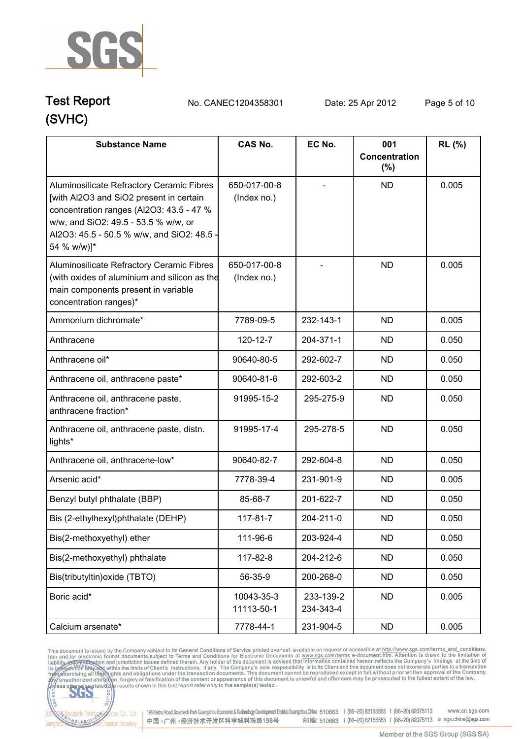

# **(SVHC) Test Report. No. CANEC1204358301 Date: 25 Apr 2012. Page 5 of 10.**

| <b>Substance Name</b>                                                                                                                                                                                                                 | <b>CAS No.</b>              | EC No.                 | 001<br>Concentration<br>$(\%)$ | <b>RL</b> (%) |
|---------------------------------------------------------------------------------------------------------------------------------------------------------------------------------------------------------------------------------------|-----------------------------|------------------------|--------------------------------|---------------|
| Aluminosilicate Refractory Ceramic Fibres<br>[with Al2O3 and SiO2 present in certain<br>concentration ranges (Al2O3: 43.5 - 47 %<br>w/w, and SiO2: 49.5 - 53.5 % w/w, or<br>Al2O3: 45.5 - 50.5 % w/w, and SiO2: 48.5 -<br>54 % w/w)]* | 650-017-00-8<br>(Index no.) |                        | <b>ND</b>                      | 0.005         |
| Aluminosilicate Refractory Ceramic Fibres<br>(with oxides of aluminium and silicon as the<br>main components present in variable<br>concentration ranges)*                                                                            | 650-017-00-8<br>(Index no.) |                        | <b>ND</b>                      | 0.005         |
| Ammonium dichromate*                                                                                                                                                                                                                  | 7789-09-5                   | 232-143-1              | <b>ND</b>                      | 0.005         |
| Anthracene                                                                                                                                                                                                                            | 120-12-7                    | 204-371-1              | <b>ND</b>                      | 0.050         |
| Anthracene oil*                                                                                                                                                                                                                       | 90640-80-5                  | 292-602-7              | <b>ND</b>                      | 0.050         |
| Anthracene oil, anthracene paste*                                                                                                                                                                                                     | 90640-81-6                  | 292-603-2              | <b>ND</b>                      | 0.050         |
| Anthracene oil, anthracene paste,<br>anthracene fraction*                                                                                                                                                                             | 91995-15-2                  | 295-275-9              | <b>ND</b>                      | 0.050         |
| Anthracene oil, anthracene paste, distn.<br>lights*                                                                                                                                                                                   | 91995-17-4                  | 295-278-5              | <b>ND</b>                      | 0.050         |
| Anthracene oil, anthracene-low*                                                                                                                                                                                                       | 90640-82-7                  | 292-604-8              | <b>ND</b>                      | 0.050         |
| Arsenic acid*                                                                                                                                                                                                                         | 7778-39-4                   | 231-901-9              | <b>ND</b>                      | 0.005         |
| Benzyl butyl phthalate (BBP)                                                                                                                                                                                                          | 85-68-7                     | 201-622-7              | <b>ND</b>                      | 0.050         |
| Bis (2-ethylhexyl)phthalate (DEHP)                                                                                                                                                                                                    | 117-81-7                    | 204-211-0              | <b>ND</b>                      | 0.050         |
| Bis(2-methoxyethyl) ether                                                                                                                                                                                                             | 111-96-6                    | 203-924-4              | <b>ND</b>                      | 0.050         |
| Bis(2-methoxyethyl) phthalate                                                                                                                                                                                                         | 117-82-8                    | 204-212-6              | <b>ND</b>                      | 0.050         |
| Bis(tributyltin) oxide (TBTO)                                                                                                                                                                                                         | 56-35-9                     | 200-268-0              | <b>ND</b>                      | 0.050         |
| Boric acid*                                                                                                                                                                                                                           | 10043-35-3<br>11113-50-1    | 233-139-2<br>234-343-4 | <b>ND</b>                      | 0.005         |
| Calcium arsenate*                                                                                                                                                                                                                     | 7778-44-1                   | 231-904-5              | <b>ND</b>                      | 0.005         |

This document is issued by the Company subject to its General Conditions of Service printed overleaf, available on request or accessible at http://www.sgs.com/terms. and\_conditions.<br>htm and, for electronic format document



Vices Co., Ltd. | 198 Kezhu Road,Scientech Park Guangzhou Economic & Technology Development District, Guangzhou, China 510663 t (86-20) 82155555 f (86-20) 82075113 www.cn.sgs.com 邮编: 510663 t (86-20) 82155555 f (86-20) 82075113 e sgs.china@sgs.com 中国·广州·经济技术开发区科学城科珠路198号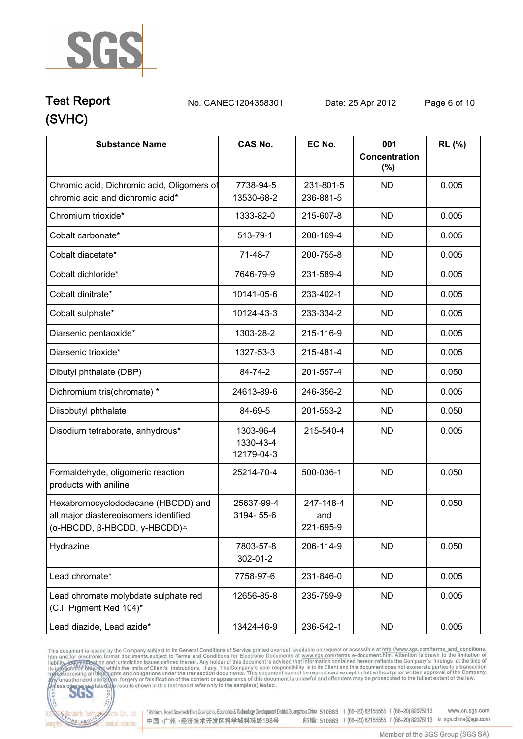

# **(SVHC) Test Report. No. CANEC1204358301 Date: 25 Apr 2012. Page 6 of 10.**

| <b>Substance Name</b>                                                                                                        | <b>CAS No.</b>                       | EC No.                        | 001<br>Concentration | RL (%) |
|------------------------------------------------------------------------------------------------------------------------------|--------------------------------------|-------------------------------|----------------------|--------|
|                                                                                                                              |                                      |                               | (%)                  |        |
| Chromic acid, Dichromic acid, Oligomers of<br>chromic acid and dichromic acid*                                               | 7738-94-5<br>13530-68-2              | 231-801-5<br>236-881-5        | <b>ND</b>            | 0.005  |
| Chromium trioxide*                                                                                                           | 1333-82-0                            | 215-607-8                     | <b>ND</b>            | 0.005  |
| Cobalt carbonate*                                                                                                            | 513-79-1                             | 208-169-4                     | <b>ND</b>            | 0.005  |
| Cobalt diacetate*                                                                                                            | 71-48-7                              | 200-755-8                     | <b>ND</b>            | 0.005  |
| Cobalt dichloride*                                                                                                           | 7646-79-9                            | 231-589-4                     | <b>ND</b>            | 0.005  |
| Cobalt dinitrate*                                                                                                            | 10141-05-6                           | 233-402-1                     | <b>ND</b>            | 0.005  |
| Cobalt sulphate*                                                                                                             | 10124-43-3                           | 233-334-2                     | <b>ND</b>            | 0.005  |
| Diarsenic pentaoxide*                                                                                                        | 1303-28-2                            | 215-116-9                     | <b>ND</b>            | 0.005  |
| Diarsenic trioxide*                                                                                                          | 1327-53-3                            | 215-481-4                     | <b>ND</b>            | 0.005  |
| Dibutyl phthalate (DBP)                                                                                                      | 84-74-2                              | 201-557-4                     | <b>ND</b>            | 0.050  |
| Dichromium tris(chromate) *                                                                                                  | 24613-89-6                           | 246-356-2                     | <b>ND</b>            | 0.005  |
| Diisobutyl phthalate                                                                                                         | 84-69-5                              | 201-553-2                     | <b>ND</b>            | 0.050  |
| Disodium tetraborate, anhydrous*                                                                                             | 1303-96-4<br>1330-43-4<br>12179-04-3 | 215-540-4                     | <b>ND</b>            | 0.005  |
| Formaldehyde, oligomeric reaction<br>products with aniline                                                                   | 25214-70-4                           | 500-036-1                     | <b>ND</b>            | 0.050  |
| Hexabromocyclododecane (HBCDD) and<br>all major diastereoisomers identified<br>(α-HBCDD, β-HBCDD, γ-HBCDD) $^{\vartriangle}$ | 25637-99-4<br>3194-55-6              | 247-148-4<br>and<br>221-695-9 | <b>ND</b>            | 0.050  |
| Hydrazine                                                                                                                    | 7803-57-8<br>302-01-2                | 206-114-9                     | <b>ND</b>            | 0.050  |
| Lead chromate*                                                                                                               | 7758-97-6                            | 231-846-0                     | <b>ND</b>            | 0.005  |
| Lead chromate molybdate sulphate red<br>(C.I. Pigment Red 104)*                                                              | 12656-85-8                           | 235-759-9                     | <b>ND</b>            | 0.005  |
| Lead diazide, Lead azide*                                                                                                    | 13424-46-9                           | 236-542-1                     | <b>ND</b>            | 0.005  |

This document is issued by the Company subject to its General Conditions of Service printed overleaf, available on request or accessible at http://www.sgs.com/terms. and\_conditions.<br>htm and, for electronic format document



198 Kezhu Road, Scientech Park Guangzhou Economic & Technology Development District, Guangzhou, China 510663 t (86-20) 82155555 f (86-20) 82075113 www.cn.sgs.com 邮编: 510663 t (86-20) 82155555 f (86-20) 82075113 e sgs.china@sgs.com 中国·广州·经济技术开发区科学城科珠路198号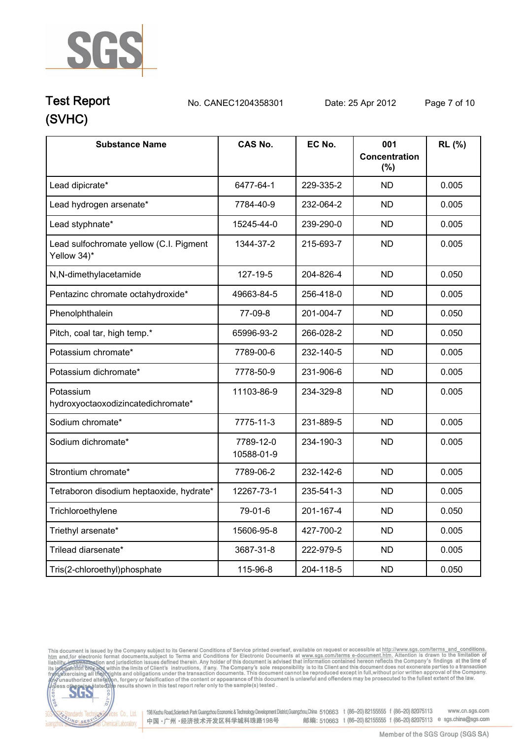

# **(SVHC) Test Report. No. CANEC1204358301 Date: 25 Apr 2012. Page 7 of 10.**

| <b>Substance Name</b>                                  | <b>CAS No.</b>          | EC No.    | 001<br><b>Concentration</b><br>(%) | RL (%) |
|--------------------------------------------------------|-------------------------|-----------|------------------------------------|--------|
| Lead dipicrate*                                        | 6477-64-1               | 229-335-2 | <b>ND</b>                          | 0.005  |
| Lead hydrogen arsenate*                                | 7784-40-9               | 232-064-2 | <b>ND</b>                          | 0.005  |
| Lead styphnate*                                        | 15245-44-0              | 239-290-0 | <b>ND</b>                          | 0.005  |
| Lead sulfochromate yellow (C.I. Pigment<br>Yellow 34)* | 1344-37-2               | 215-693-7 | <b>ND</b>                          | 0.005  |
| N,N-dimethylacetamide                                  | 127-19-5                | 204-826-4 | <b>ND</b>                          | 0.050  |
| Pentazinc chromate octahydroxide*                      | 49663-84-5              | 256-418-0 | <b>ND</b>                          | 0.005  |
| Phenolphthalein                                        | 77-09-8                 | 201-004-7 | <b>ND</b>                          | 0.050  |
| Pitch, coal tar, high temp.*                           | 65996-93-2              | 266-028-2 | <b>ND</b>                          | 0.050  |
| Potassium chromate*                                    | 7789-00-6               | 232-140-5 | <b>ND</b>                          | 0.005  |
| Potassium dichromate*                                  | 7778-50-9               | 231-906-6 | <b>ND</b>                          | 0.005  |
| Potassium<br>hydroxyoctaoxodizincatedichromate*        | 11103-86-9              | 234-329-8 | <b>ND</b>                          | 0.005  |
| Sodium chromate*                                       | 7775-11-3               | 231-889-5 | <b>ND</b>                          | 0.005  |
| Sodium dichromate*                                     | 7789-12-0<br>10588-01-9 | 234-190-3 | <b>ND</b>                          | 0.005  |
| Strontium chromate*                                    | 7789-06-2               | 232-142-6 | <b>ND</b>                          | 0.005  |
| Tetraboron disodium heptaoxide, hydrate*               | 12267-73-1              | 235-541-3 | <b>ND</b>                          | 0.005  |
| Trichloroethylene                                      | 79-01-6                 | 201-167-4 | <b>ND</b>                          | 0.050  |
| Triethyl arsenate*                                     | 15606-95-8              | 427-700-2 | <b>ND</b>                          | 0.005  |
| Trilead diarsenate*                                    | 3687-31-8               | 222-979-5 | <b>ND</b>                          | 0.005  |
| Tris(2-chloroethyl)phosphate                           | 115-96-8                | 204-118-5 | <b>ND</b>                          | 0.050  |

This document is issued by the Company subject to its General Conditions of Service printed overleaf, available on request or accessible at http://www.sgs.com/terms\_and\_conditions.<br>htm\_and,for electronic format documents,



onces Co., Ltd. | 198 Kezhu Road, Scientech Park Guangzhou Economic & Technology Development District, Guangzhou, China 510663 t (86-20) 82155555 f (86-20) 82075113 www.cn.sgs.com 邮编: 510663 t (86-20) 82155555 f (86-20) 82075113 e sgs.china@sgs.com 中国·广州·经济技术开发区科学城科珠路198号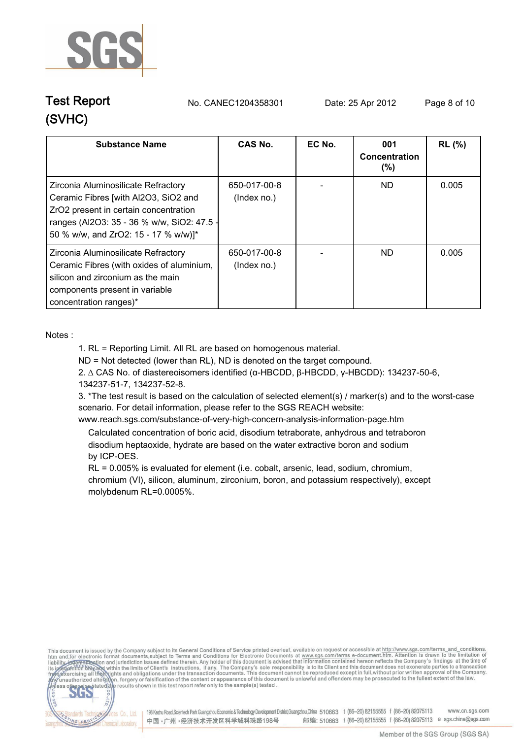

# **(SVHC)**

**Test Report. No. CANEC1204358301 Date: 25 Apr 2012. Page 8 of 10.**

| <b>Substance Name</b>                                                                                                                                                                                      | <b>CAS No.</b>              | EC No. | 001<br>Concentration<br>$(\% )$ | <b>RL</b> (%) |
|------------------------------------------------------------------------------------------------------------------------------------------------------------------------------------------------------------|-----------------------------|--------|---------------------------------|---------------|
| Zirconia Aluminosilicate Refractory<br>Ceramic Fibres [with Al2O3, SiO2 and<br>ZrO2 present in certain concentration<br>ranges (Al2O3: 35 - 36 % w/w, SiO2: 47.5 -<br>50 % w/w, and ZrO2: 15 - 17 % w/w)]* | 650-017-00-8<br>(Index no.) |        | ND.                             | 0.005         |
| Zirconia Aluminosilicate Refractory<br>Ceramic Fibres (with oxides of aluminium,<br>silicon and zirconium as the main<br>components present in variable<br>concentration ranges)*                          | 650-017-00-8<br>(Index no.) |        | ND.                             | 0.005         |

**Notes :.**

**1. RL = Reporting Limit. All RL are based on homogenous material.**

**ND = Not detected (lower than RL), ND is denoted on the target compound.**

**2. ∆ CAS No. of diastereoisomers identified (α-HBCDD, β-HBCDD, γ-HBCDD): 134237-50-6, 134237-51-7, 134237-52-8.**

**3. \*The test result is based on the calculation of selected element(s) / marker(s) and to the worst-case scenario. For detail information, please refer to the SGS REACH website:** 

**www.reach.sgs.com/substance-of-very-high-concern-analysis-information-page.htm. Calculated concentration of boric acid, disodium tetraborate, anhydrous and tetraboron**

 **disodium heptaoxide, hydrate are based on the water extractive boron and sodium by ICP-OES.**

 **RL = 0.005% is evaluated for element (i.e. cobalt, arsenic, lead, sodium, chromium, chromium (VI), silicon, aluminum, zirconium, boron, and potassium respectively), except molybdenum RL=0.0005%..**

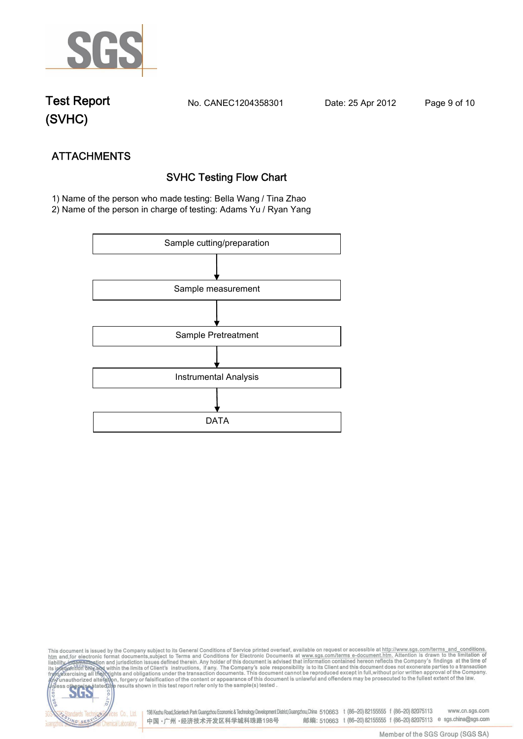

**(SVHC)**

**Test Report. No. CANEC1204358301 Date: 25 Apr 2012. Page 9 of 10.**

NG SER

**Chemical Laboratory** 

**ATTACHMENTS SVHC Testing Flow Chart 1)** Name of the person who made testing: **Bella Wang / Tina Zhao**

**2)** Name of the person in charge of testing: **Adams Yu / Ryan Yang**



This document is issued by the Company subject to its General Conditions of Service printed overleaf, available on request or accessible at http://www.sgs.com/terms\_and\_conditions.<br>htm\_and,for electronic format documents,s S **202** 198 Kezhu Road,Scientech Park Guangzhou Economic & Technology Development District,Guangzhou,China 510663 t (86-20) 82155555 f (86-20) 82075113 www.cn.sgs.com dards Ter fices Co., Ltd.

中国·广州·经济技术开发区科学城科珠路198号

Member of the SGS Group (SGS SA)

邮编: 510663 t (86-20) 82155555 f (86-20) 82075113 e sgs.china@sgs.com